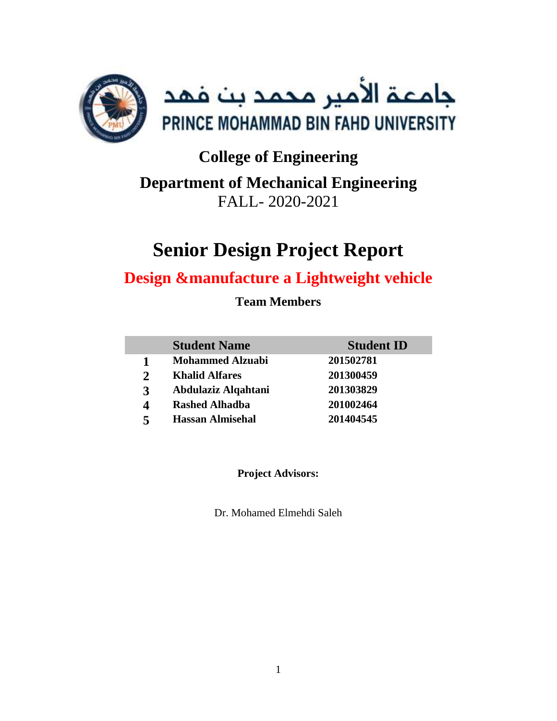

# **College of Engineering Department of Mechanical Engineering** FALL- 2020-2021

# **Senior Design Project Report**

# **Design &manufacture a Lightweight vehicle**

**Team Members**

|   | <b>Student Name</b>     | <b>Student ID</b> |
|---|-------------------------|-------------------|
|   | <b>Mohammed Alzuabi</b> | 201502781         |
|   | <b>Khalid Alfares</b>   | 201300459         |
| 3 | Abdulaziz Alqahtani     | 201303829         |
|   | <b>Rashed Alhadba</b>   | 201002464         |
| 5 | <b>Hassan Almisehal</b> | 201404545         |

**Project Advisors:**

Dr. Mohamed Elmehdi Saleh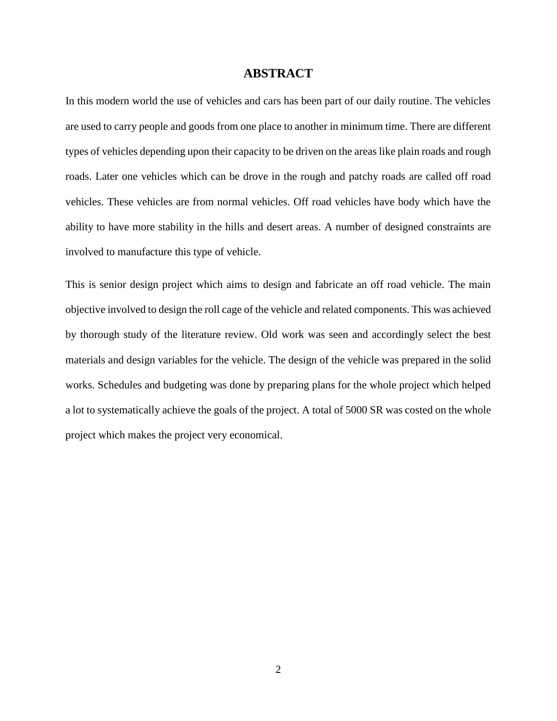#### **ABSTRACT**

<span id="page-1-0"></span>In this modern world the use of vehicles and cars has been part of our daily routine. The vehicles are used to carry people and goods from one place to another in minimum time. There are different types of vehicles depending upon their capacity to be driven on the areas like plain roads and rough roads. Later one vehicles which can be drove in the rough and patchy roads are called off road vehicles. These vehicles are from normal vehicles. Off road vehicles have body which have the ability to have more stability in the hills and desert areas. A number of designed constraints are involved to manufacture this type of vehicle.

This is senior design project which aims to design and fabricate an off road vehicle. The main objective involved to design the roll cage of the vehicle and related components. This was achieved by thorough study of the literature review. Old work was seen and accordingly select the best materials and design variables for the vehicle. The design of the vehicle was prepared in the solid works. Schedules and budgeting was done by preparing plans for the whole project which helped a lot to systematically achieve the goals of the project. A total of 5000 SR was costed on the whole project which makes the project very economical.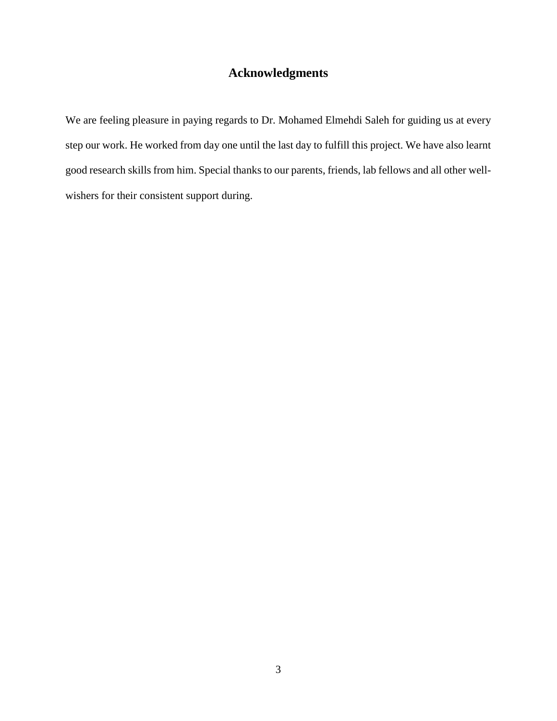# **Acknowledgments**

<span id="page-2-0"></span>We are feeling pleasure in paying regards to Dr. Mohamed Elmehdi Saleh for guiding us at every step our work. He worked from day one until the last day to fulfill this project. We have also learnt good research skills from him. Special thanks to our parents, friends, lab fellows and all other wellwishers for their consistent support during.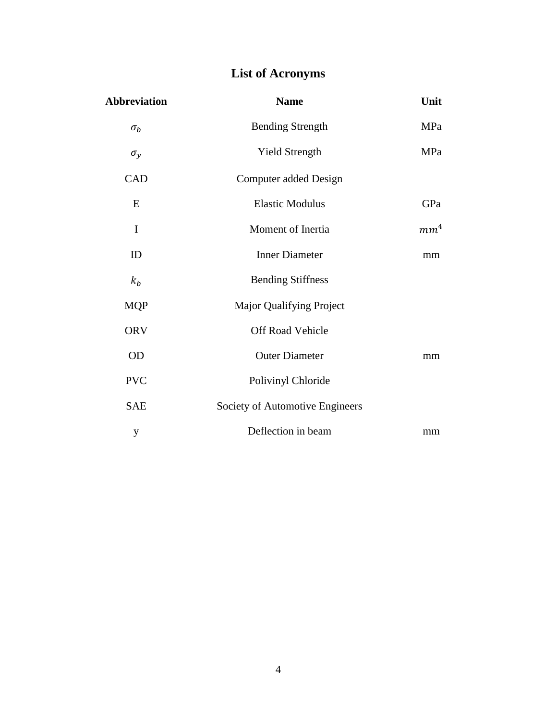# **List of Acronyms**

<span id="page-3-0"></span>

| <b>Abbreviation</b> | <b>Name</b>                     | Unit            |
|---------------------|---------------------------------|-----------------|
| $\sigma_b$          | <b>Bending Strength</b>         | MPa             |
| $\sigma_y$          | <b>Yield Strength</b>           | MPa             |
| CAD                 | Computer added Design           |                 |
| E                   | <b>Elastic Modulus</b>          | GPa             |
| I                   | Moment of Inertia               | mm <sup>4</sup> |
| ID                  | <b>Inner Diameter</b>           | mm              |
| $k_b$               | <b>Bending Stiffness</b>        |                 |
| <b>MQP</b>          | Major Qualifying Project        |                 |
| <b>ORV</b>          | Off Road Vehicle                |                 |
| OD                  | <b>Outer Diameter</b>           | mm              |
| <b>PVC</b>          | Polivinyl Chloride              |                 |
| <b>SAE</b>          | Society of Automotive Engineers |                 |
| y                   | Deflection in beam              | mm              |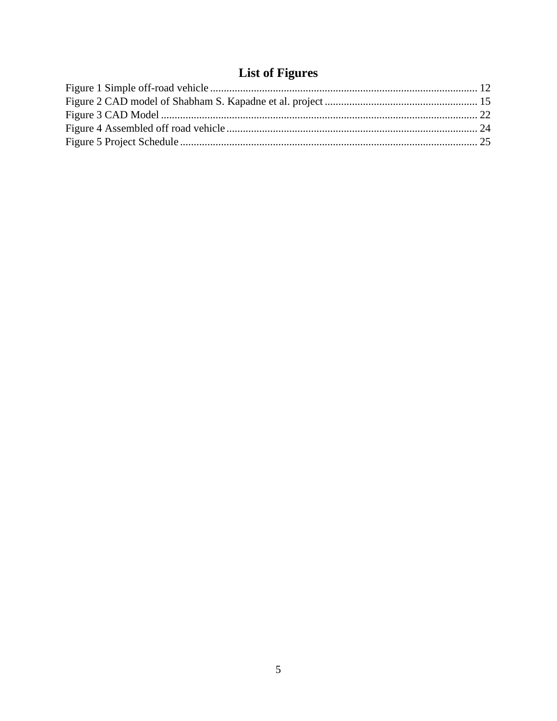# **List of Figures**

<span id="page-4-0"></span>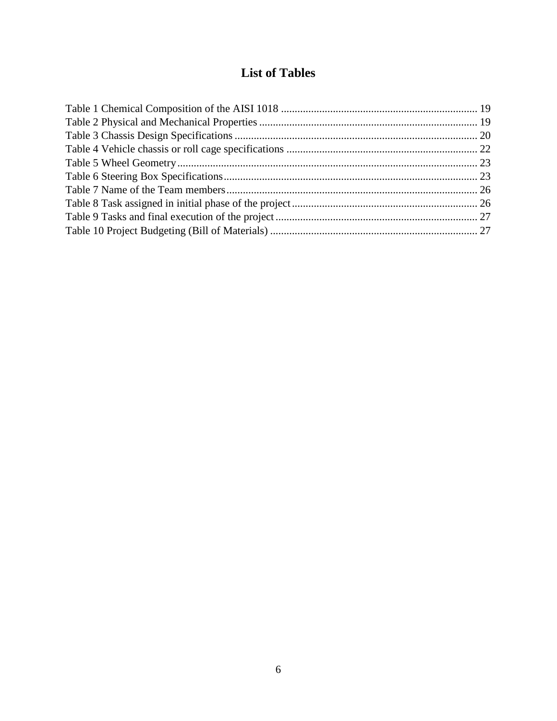# **List of Tables**

<span id="page-5-0"></span>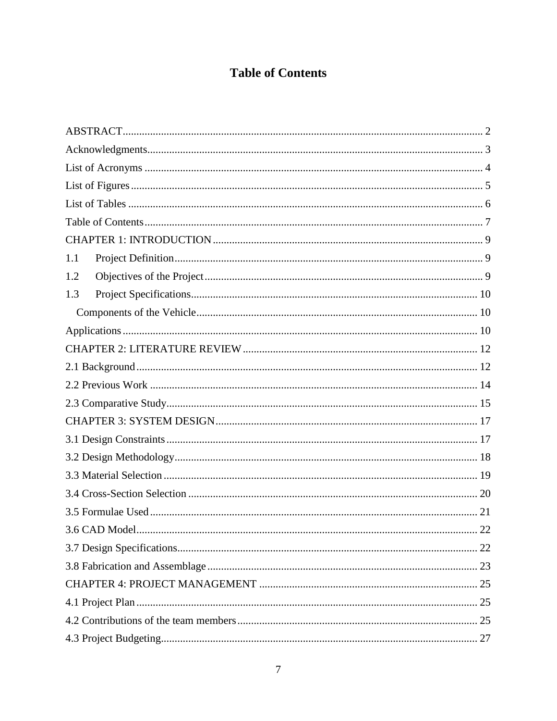# **Table of Contents**

<span id="page-6-0"></span>

| 1.1 |
|-----|
| 1.2 |
| 1.3 |
|     |
|     |
|     |
|     |
|     |
|     |
|     |
|     |
|     |
|     |
|     |
| 21  |
| 22  |
|     |
|     |
|     |
|     |
|     |
|     |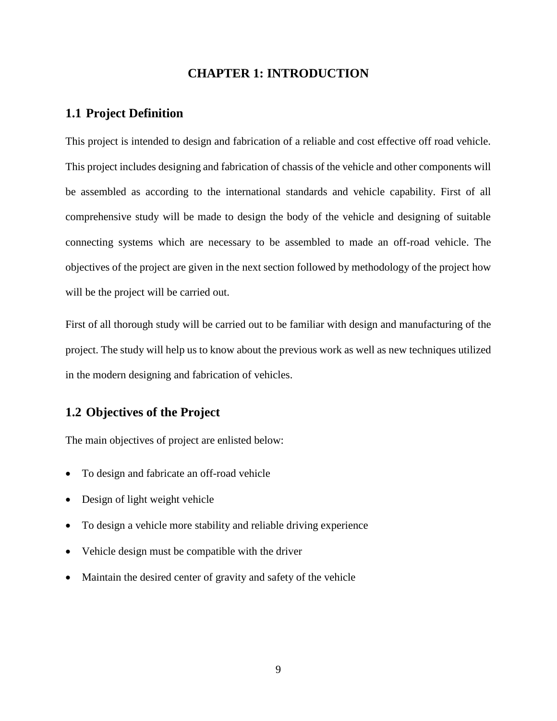### **CHAPTER 1: INTRODUCTION**

#### <span id="page-8-1"></span><span id="page-8-0"></span>**1.1 Project Definition**

This project is intended to design and fabrication of a reliable and cost effective off road vehicle. This project includes designing and fabrication of chassis of the vehicle and other components will be assembled as according to the international standards and vehicle capability. First of all comprehensive study will be made to design the body of the vehicle and designing of suitable connecting systems which are necessary to be assembled to made an off-road vehicle. The objectives of the project are given in the next section followed by methodology of the project how will be the project will be carried out.

First of all thorough study will be carried out to be familiar with design and manufacturing of the project. The study will help us to know about the previous work as well as new techniques utilized in the modern designing and fabrication of vehicles.

## <span id="page-8-2"></span>**1.2 Objectives of the Project**

The main objectives of project are enlisted below:

- To design and fabricate an off-road vehicle
- Design of light weight vehicle
- To design a vehicle more stability and reliable driving experience
- Vehicle design must be compatible with the driver
- Maintain the desired center of gravity and safety of the vehicle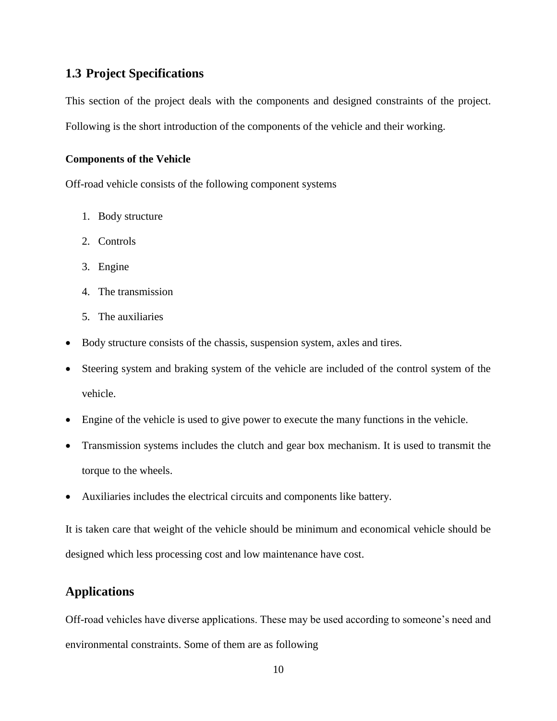## <span id="page-9-0"></span>**1.3 Project Specifications**

This section of the project deals with the components and designed constraints of the project. Following is the short introduction of the components of the vehicle and their working.

#### <span id="page-9-1"></span>**Components of the Vehicle**

Off-road vehicle consists of the following component systems

- 1. Body structure
- 2. Controls
- 3. Engine
- 4. The transmission
- 5. The auxiliaries
- Body structure consists of the chassis, suspension system, axles and tires.
- Steering system and braking system of the vehicle are included of the control system of the vehicle.
- Engine of the vehicle is used to give power to execute the many functions in the vehicle.
- Transmission systems includes the clutch and gear box mechanism. It is used to transmit the torque to the wheels.
- Auxiliaries includes the electrical circuits and components like battery.

It is taken care that weight of the vehicle should be minimum and economical vehicle should be designed which less processing cost and low maintenance have cost.

## <span id="page-9-2"></span>**Applications**

Off-road vehicles have diverse applications. These may be used according to someone's need and environmental constraints. Some of them are as following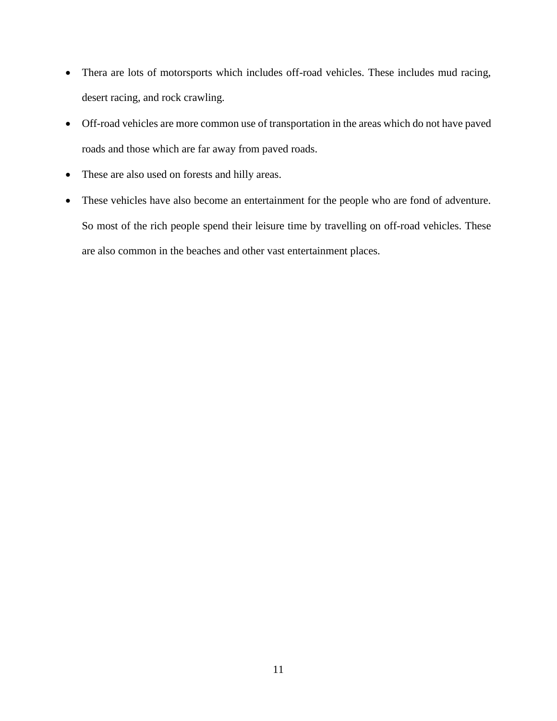- Thera are lots of motorsports which includes off-road vehicles. These includes mud racing, desert racing, and rock crawling.
- Off-road vehicles are more common use of transportation in the areas which do not have paved roads and those which are far away from paved roads.
- These are also used on forests and hilly areas.
- These vehicles have also become an entertainment for the people who are fond of adventure. So most of the rich people spend their leisure time by travelling on off-road vehicles. These are also common in the beaches and other vast entertainment places.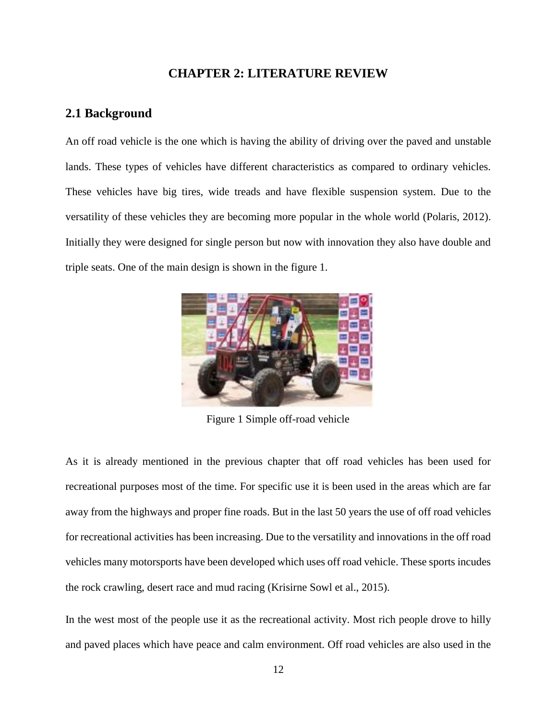### **CHAPTER 2: LITERATURE REVIEW**

#### <span id="page-11-1"></span><span id="page-11-0"></span>**2.1 Background**

An off road vehicle is the one which is having the ability of driving over the paved and unstable lands. These types of vehicles have different characteristics as compared to ordinary vehicles. These vehicles have big tires, wide treads and have flexible suspension system. Due to the versatility of these vehicles they are becoming more popular in the whole world (Polaris, 2012). Initially they were designed for single person but now with innovation they also have double and triple seats. One of the main design is shown in the figure 1.



Figure 1 Simple off-road vehicle

As it is already mentioned in the previous chapter that off road vehicles has been used for recreational purposes most of the time. For specific use it is been used in the areas which are far away from the highways and proper fine roads. But in the last 50 years the use of off road vehicles for recreational activities has been increasing. Due to the versatility and innovations in the off road vehicles many motorsports have been developed which uses off road vehicle. These sports incudes the rock crawling, desert race and mud racing (Krisirne Sowl et al., 2015).

In the west most of the people use it as the recreational activity. Most rich people drove to hilly and paved places which have peace and calm environment. Off road vehicles are also used in the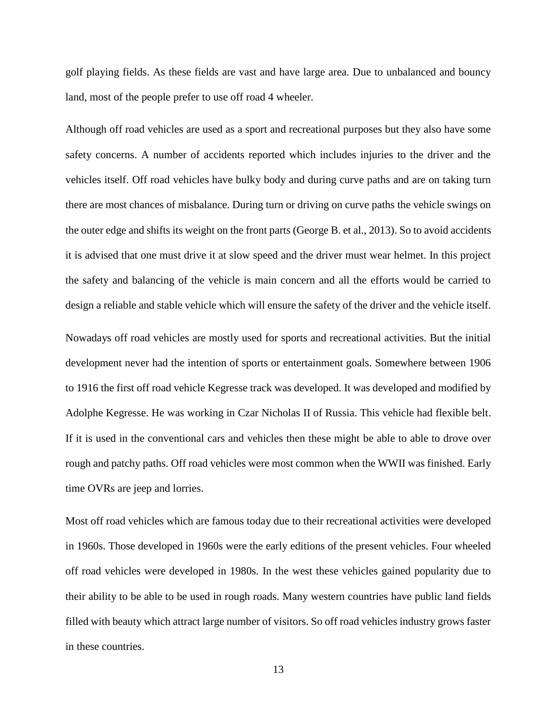golf playing fields. As these fields are vast and have large area. Due to unbalanced and bouncy land, most of the people prefer to use off road 4 wheeler.

Although off road vehicles are used as a sport and recreational purposes but they also have some safety concerns. A number of accidents reported which includes injuries to the driver and the vehicles itself. Off road vehicles have bulky body and during curve paths and are on taking turn there are most chances of misbalance. During turn or driving on curve paths the vehicle swings on the outer edge and shifts its weight on the front parts (George B. et al., 2013). So to avoid accidents it is advised that one must drive it at slow speed and the driver must wear helmet. In this project the safety and balancing of the vehicle is main concern and all the efforts would be carried to design a reliable and stable vehicle which will ensure the safety of the driver and the vehicle itself.

Nowadays off road vehicles are mostly used for sports and recreational activities. But the initial development never had the intention of sports or entertainment goals. Somewhere between 1906 to 1916 the first off road vehicle Kegresse track was developed. It was developed and modified by Adolphe Kegresse. He was working in Czar Nicholas II of Russia. This vehicle had flexible belt. If it is used in the conventional cars and vehicles then these might be able to able to drove over rough and patchy paths. Off road vehicles were most common when the WWII was finished. Early time OVRs are jeep and lorries.

Most off road vehicles which are famous today due to their recreational activities were developed in 1960s. Those developed in 1960s were the early editions of the present vehicles. Four wheeled off road vehicles were developed in 1980s. In the west these vehicles gained popularity due to their ability to be able to be used in rough roads. Many western countries have public land fields filled with beauty which attract large number of visitors. So off road vehicles industry grows faster in these countries.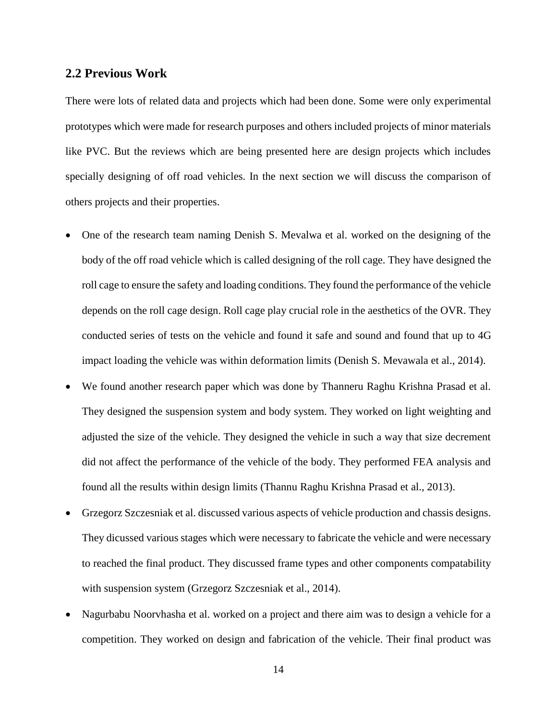#### <span id="page-13-0"></span>**2.2 Previous Work**

There were lots of related data and projects which had been done. Some were only experimental prototypes which were made for research purposes and others included projects of minor materials like PVC. But the reviews which are being presented here are design projects which includes specially designing of off road vehicles. In the next section we will discuss the comparison of others projects and their properties.

- One of the research team naming Denish S. Mevalwa et al. worked on the designing of the body of the off road vehicle which is called designing of the roll cage. They have designed the roll cage to ensure the safety and loading conditions. They found the performance of the vehicle depends on the roll cage design. Roll cage play crucial role in the aesthetics of the OVR. They conducted series of tests on the vehicle and found it safe and sound and found that up to 4G impact loading the vehicle was within deformation limits (Denish S. Mevawala et al., 2014).
- We found another research paper which was done by Thanneru Raghu Krishna Prasad et al. They designed the suspension system and body system. They worked on light weighting and adjusted the size of the vehicle. They designed the vehicle in such a way that size decrement did not affect the performance of the vehicle of the body. They performed FEA analysis and found all the results within design limits (Thannu Raghu Krishna Prasad et al., 2013).
- Grzegorz Szczesniak et al. discussed various aspects of vehicle production and chassis designs. They dicussed various stages which were necessary to fabricate the vehicle and were necessary to reached the final product. They discussed frame types and other components compatability with suspension system (Grzegorz Szczesniak et al., 2014).
- Nagurbabu Noorvhasha et al. worked on a project and there aim was to design a vehicle for a competition. They worked on design and fabrication of the vehicle. Their final product was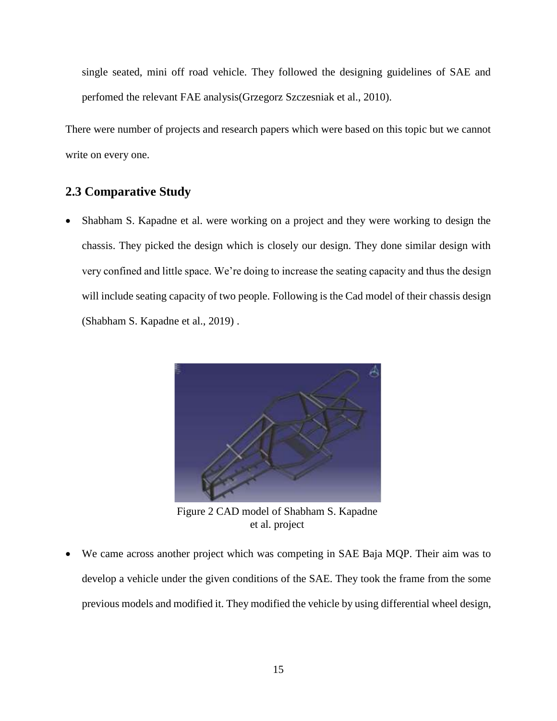single seated, mini off road vehicle. They followed the designing guidelines of SAE and perfomed the relevant FAE analysis(Grzegorz Szczesniak et al., 2010).

There were number of projects and research papers which were based on this topic but we cannot write on every one.

## <span id="page-14-0"></span>**2.3 Comparative Study**

• Shabham S. Kapadne et al. were working on a project and they were working to design the chassis. They picked the design which is closely our design. They done similar design with very confined and little space. We're doing to increase the seating capacity and thus the design will include seating capacity of two people. Following is the Cad model of their chassis design (Shabham S. Kapadne et al., 2019) .



Figure 2 CAD model of Shabham S. Kapadne et al. project

 We came across another project which was competing in SAE Baja MQP. Their aim was to develop a vehicle under the given conditions of the SAE. They took the frame from the some previous models and modified it. They modified the vehicle by using differential wheel design,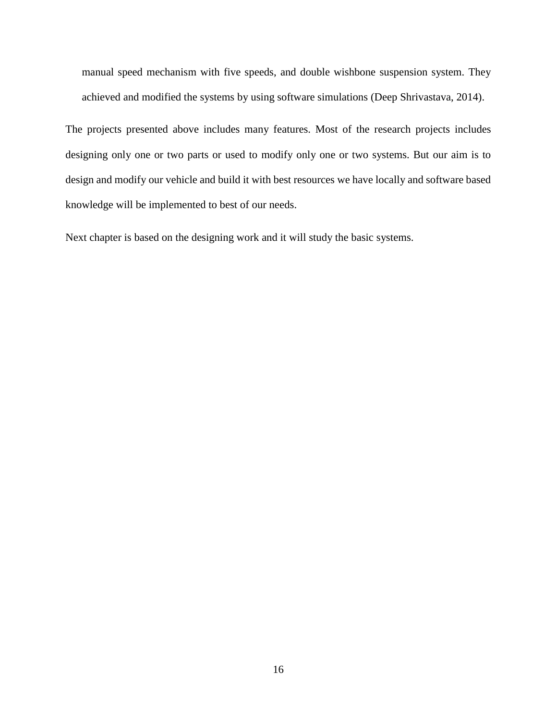manual speed mechanism with five speeds, and double wishbone suspension system. They achieved and modified the systems by using software simulations (Deep Shrivastava, 2014).

The projects presented above includes many features. Most of the research projects includes designing only one or two parts or used to modify only one or two systems. But our aim is to design and modify our vehicle and build it with best resources we have locally and software based knowledge will be implemented to best of our needs.

Next chapter is based on the designing work and it will study the basic systems.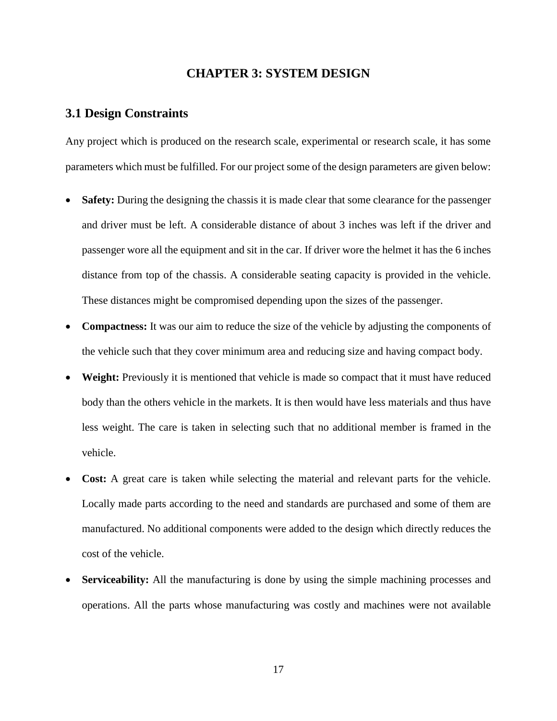#### **CHAPTER 3: SYSTEM DESIGN**

#### <span id="page-16-1"></span><span id="page-16-0"></span>**3.1 Design Constraints**

Any project which is produced on the research scale, experimental or research scale, it has some parameters which must be fulfilled. For our project some of the design parameters are given below:

- **Safety:** During the designing the chassis it is made clear that some clearance for the passenger and driver must be left. A considerable distance of about 3 inches was left if the driver and passenger wore all the equipment and sit in the car. If driver wore the helmet it has the 6 inches distance from top of the chassis. A considerable seating capacity is provided in the vehicle. These distances might be compromised depending upon the sizes of the passenger.
- **Compactness:** It was our aim to reduce the size of the vehicle by adjusting the components of the vehicle such that they cover minimum area and reducing size and having compact body.
- **Weight:** Previously it is mentioned that vehicle is made so compact that it must have reduced body than the others vehicle in the markets. It is then would have less materials and thus have less weight. The care is taken in selecting such that no additional member is framed in the vehicle.
- **Cost:** A great care is taken while selecting the material and relevant parts for the vehicle. Locally made parts according to the need and standards are purchased and some of them are manufactured. No additional components were added to the design which directly reduces the cost of the vehicle.
- **Serviceability:** All the manufacturing is done by using the simple machining processes and operations. All the parts whose manufacturing was costly and machines were not available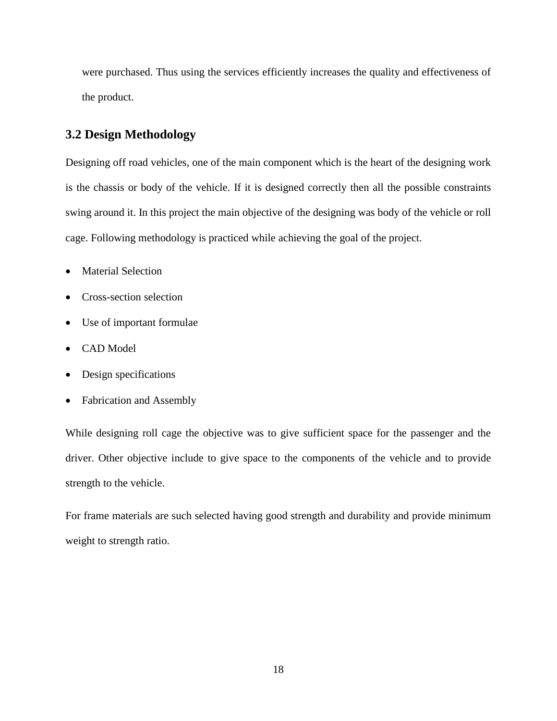were purchased. Thus using the services efficiently increases the quality and effectiveness of the product.

## <span id="page-17-0"></span>**3.2 Design Methodology**

Designing off road vehicles, one of the main component which is the heart of the designing work is the chassis or body of the vehicle. If it is designed correctly then all the possible constraints swing around it. In this project the main objective of the designing was body of the vehicle or roll cage. Following methodology is practiced while achieving the goal of the project.

- Material Selection
- Cross-section selection
- Use of important formulae
- CAD Model
- Design specifications
- Fabrication and Assembly

While designing roll cage the objective was to give sufficient space for the passenger and the driver. Other objective include to give space to the components of the vehicle and to provide strength to the vehicle.

For frame materials are such selected having good strength and durability and provide minimum weight to strength ratio.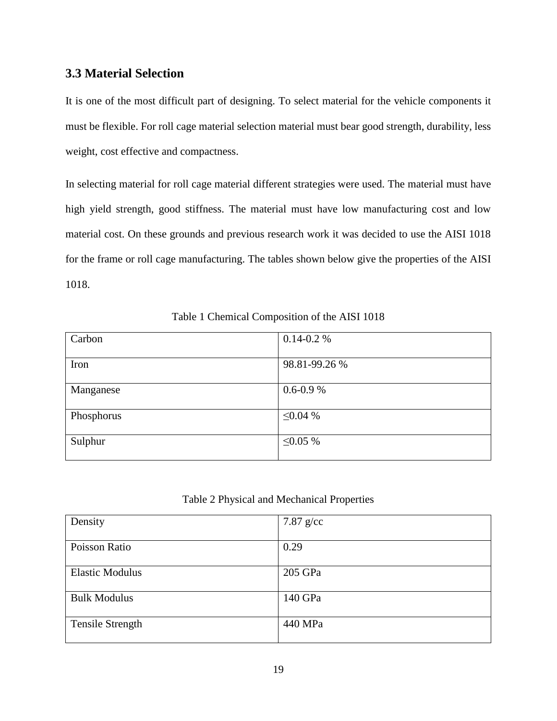## <span id="page-18-2"></span>**3.3 Material Selection**

It is one of the most difficult part of designing. To select material for the vehicle components it must be flexible. For roll cage material selection material must bear good strength, durability, less weight, cost effective and compactness.

In selecting material for roll cage material different strategies were used. The material must have high yield strength, good stiffness. The material must have low manufacturing cost and low material cost. On these grounds and previous research work it was decided to use the AISI 1018 for the frame or roll cage manufacturing. The tables shown below give the properties of the AISI 1018.

Table 1 Chemical Composition of the AISI 1018

<span id="page-18-0"></span>

| Carbon     | $0.14 - 0.2 %$ |
|------------|----------------|
|            |                |
| Iron       | 98.81-99.26 %  |
|            |                |
| Manganese  | $0.6 - 0.9 %$  |
|            |                |
| Phosphorus | $\leq 0.04\%$  |
|            |                |
| Sulphur    | ≤0.05 %        |
|            |                |

Table 2 Physical and Mechanical Properties

<span id="page-18-1"></span>

| Density                 | $7.87$ g/cc |
|-------------------------|-------------|
|                         |             |
| Poisson Ratio           | 0.29        |
|                         |             |
| <b>Elastic Modulus</b>  | 205 GPa     |
|                         |             |
| <b>Bulk Modulus</b>     | 140 GPa     |
|                         |             |
| <b>Tensile Strength</b> | 440 MPa     |
|                         |             |
|                         |             |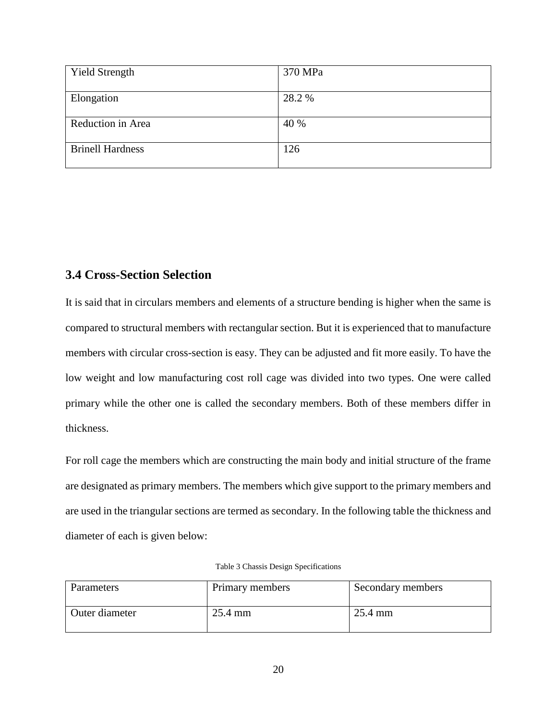| <b>Yield Strength</b>   | 370 MPa |
|-------------------------|---------|
|                         |         |
| Elongation              | 28.2 %  |
|                         |         |
| Reduction in Area       | 40 %    |
|                         |         |
|                         |         |
|                         |         |
| <b>Brinell Hardness</b> | 126     |
|                         |         |
|                         |         |
|                         |         |

# <span id="page-19-1"></span>**3.4 Cross-Section Selection**

It is said that in circulars members and elements of a structure bending is higher when the same is compared to structural members with rectangular section. But it is experienced that to manufacture members with circular cross-section is easy. They can be adjusted and fit more easily. To have the low weight and low manufacturing cost roll cage was divided into two types. One were called primary while the other one is called the secondary members. Both of these members differ in thickness.

For roll cage the members which are constructing the main body and initial structure of the frame are designated as primary members. The members which give support to the primary members and are used in the triangular sections are termed as secondary. In the following table the thickness and diameter of each is given below:

| Table 3 Chassis Design Specifications |  |  |
|---------------------------------------|--|--|
|---------------------------------------|--|--|

<span id="page-19-0"></span>

| Parameters     | Primary members | Secondary members |
|----------------|-----------------|-------------------|
| Outer diameter | 25.4 mm         | $25.4 \text{ mm}$ |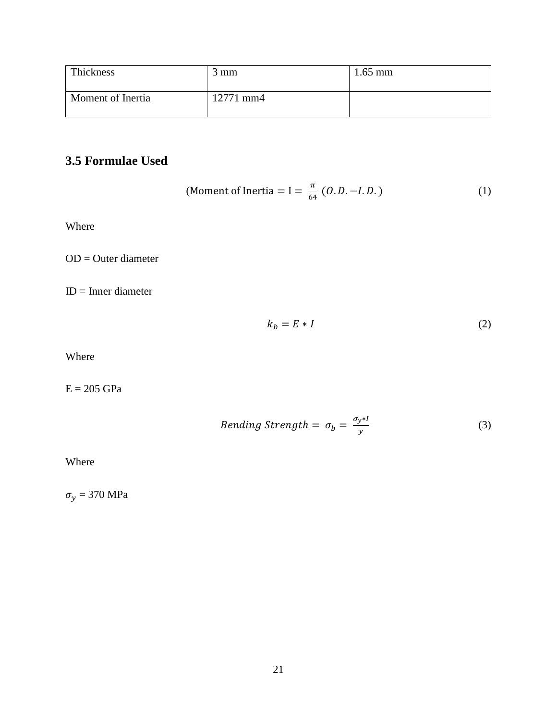| Thickness         | $3 \text{ mm}$ | $1.65$ mm |
|-------------------|----------------|-----------|
| Moment of Inertia | 12771 mm4      |           |

# <span id="page-20-0"></span>**3.5 Formulae Used**

(Moment of Inertia = I = 
$$
\frac{\pi}{64}
$$
 (0.D. -I.D.) (1)

Where

OD = Outer diameter

ID = Inner diameter

$$
k_b = E * I \tag{2}
$$

Where

 $E = 205$  GPa

$$
Bending \, Strength = \sigma_b = \frac{\sigma_{y} * I}{y} \tag{3}
$$

Where

 $\sigma_y = 370$  MPa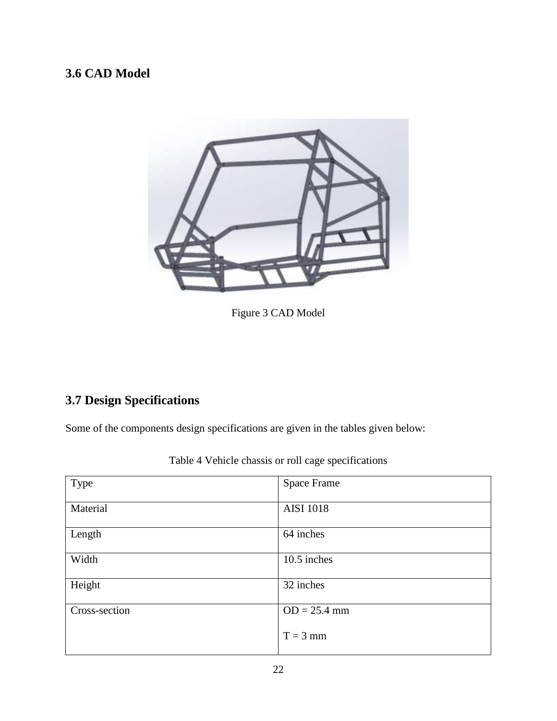# <span id="page-21-1"></span>**3.6 CAD Model**



Figure 3 CAD Model

# <span id="page-21-2"></span>**3.7 Design Specifications**

Some of the components design specifications are given in the tables given below:

<span id="page-21-0"></span>

| Type          | Space Frame      |
|---------------|------------------|
| Material      | <b>AISI 1018</b> |
| Length        | 64 inches        |
| Width         | 10.5 inches      |
| Height        | 32 inches        |
| Cross-section | $OD = 25.4$ mm   |
|               | $T = 3$ mm       |

Table 4 Vehicle chassis or roll cage specifications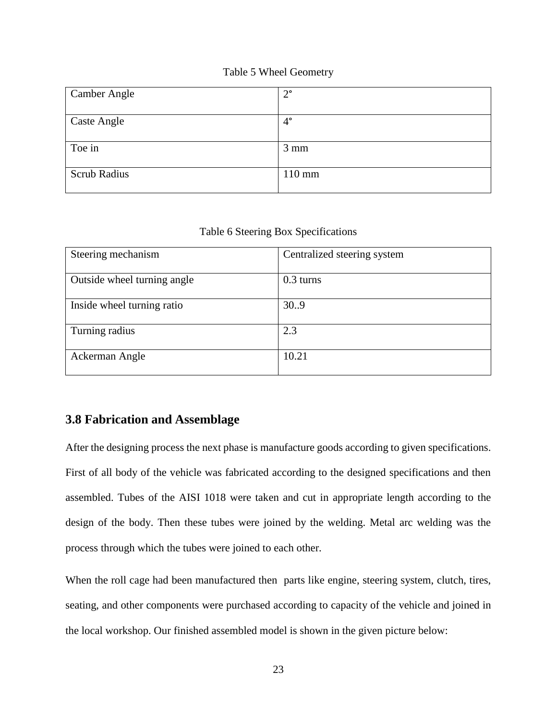#### Table 5 Wheel Geometry

<span id="page-22-0"></span>

| <b>Camber Angle</b> | $2^{\circ}$      |
|---------------------|------------------|
|                     |                  |
| <b>Caste Angle</b>  | $4^{\circ}$      |
|                     |                  |
| Toe in              | $3 \text{ mm}$   |
|                     |                  |
| <b>Scrub Radius</b> | $110 \text{ mm}$ |
|                     |                  |

#### Table 6 Steering Box Specifications

<span id="page-22-1"></span>

| Steering mechanism          | Centralized steering system |
|-----------------------------|-----------------------------|
|                             |                             |
|                             |                             |
| Outside wheel turning angle | $0.3$ turns                 |
|                             |                             |
|                             |                             |
| Inside wheel turning ratio  | 30.9                        |
|                             |                             |
|                             |                             |
| Turning radius              | 2.3                         |
|                             |                             |
|                             |                             |
| Ackerman Angle              | 10.21                       |
|                             |                             |
|                             |                             |

## <span id="page-22-2"></span>**3.8 Fabrication and Assemblage**

After the designing process the next phase is manufacture goods according to given specifications. First of all body of the vehicle was fabricated according to the designed specifications and then assembled. Tubes of the AISI 1018 were taken and cut in appropriate length according to the design of the body. Then these tubes were joined by the welding. Metal arc welding was the process through which the tubes were joined to each other.

When the roll cage had been manufactured then parts like engine, steering system, clutch, tires, seating, and other components were purchased according to capacity of the vehicle and joined in the local workshop. Our finished assembled model is shown in the given picture below: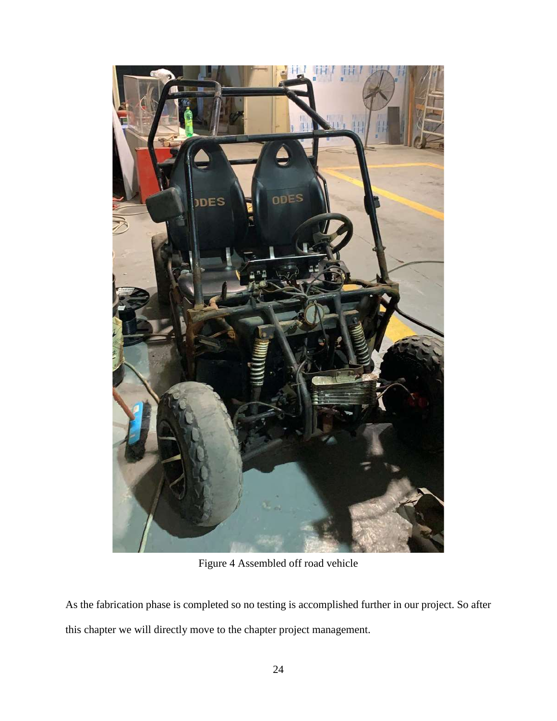

Figure 4 Assembled off road vehicle

As the fabrication phase is completed so no testing is accomplished further in our project. So after this chapter we will directly move to the chapter project management.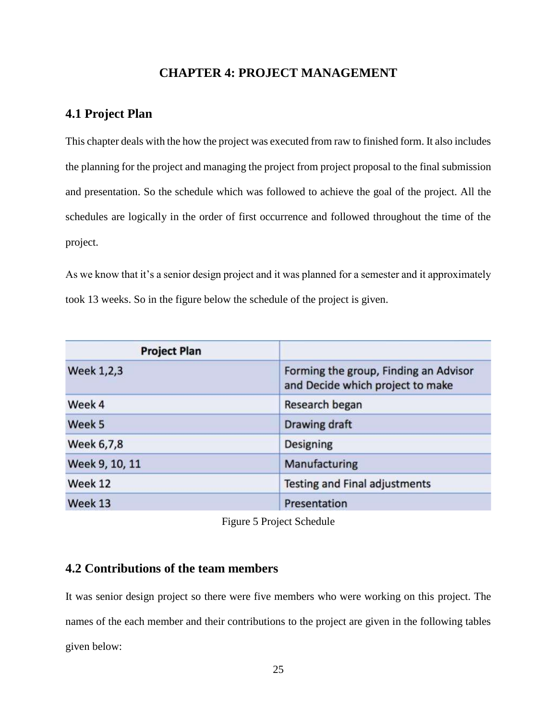## **CHAPTER 4: PROJECT MANAGEMENT**

## <span id="page-24-1"></span><span id="page-24-0"></span>**4.1 Project Plan**

This chapter deals with the how the project was executed from raw to finished form. It also includes the planning for the project and managing the project from project proposal to the final submission and presentation. So the schedule which was followed to achieve the goal of the project. All the schedules are logically in the order of first occurrence and followed throughout the time of the project.

As we know that it's a senior design project and it was planned for a semester and it approximately took 13 weeks. So in the figure below the schedule of the project is given.

| <b>Project Plan</b> |                                                                           |
|---------------------|---------------------------------------------------------------------------|
| Week 1,2,3          | Forming the group, Finding an Advisor<br>and Decide which project to make |
| Week 4              | Research began                                                            |
| Week 5              | Drawing draft                                                             |
| Week 6,7,8          | <b>Designing</b>                                                          |
| Week 9, 10, 11      | Manufacturing                                                             |
| Week 12             | <b>Testing and Final adjustments</b>                                      |
| Week 13             | Presentation                                                              |

Figure 5 Project Schedule

### <span id="page-24-2"></span>**4.2 Contributions of the team members**

It was senior design project so there were five members who were working on this project. The names of the each member and their contributions to the project are given in the following tables given below: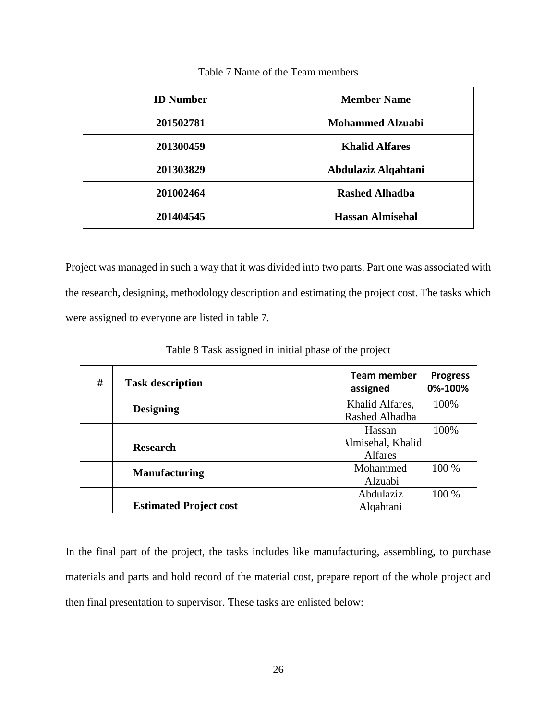<span id="page-25-0"></span>

| <b>ID</b> Number | <b>Member Name</b>      |  |
|------------------|-------------------------|--|
| 201502781        | <b>Mohammed Alzuabi</b> |  |
| 201300459        | <b>Khalid Alfares</b>   |  |
| 201303829        | Abdulaziz Alqahtani     |  |
| 201002464        | <b>Rashed Alhadba</b>   |  |
| 201404545        | <b>Hassan Almisehal</b> |  |

Table 7 Name of the Team members

Project was managed in such a way that it was divided into two parts. Part one was associated with the research, designing, methodology description and estimating the project cost. The tasks which were assigned to everyone are listed in table 7.

<span id="page-25-1"></span>

| #               | <b>Task description</b>       | <b>Team member</b><br>assigned | <b>Progress</b><br>0%-100% |
|-----------------|-------------------------------|--------------------------------|----------------------------|
|                 | <b>Designing</b>              | Khalid Alfares,                | 100%                       |
|                 |                               | Rashed Alhadba                 |                            |
|                 |                               | Hassan                         | 100%                       |
| <b>Research</b> | <b>Almisehal</b> , Khalid     |                                |                            |
|                 |                               | <b>Alfares</b>                 |                            |
|                 | <b>Manufacturing</b>          | Mohammed                       | 100 %                      |
|                 |                               | Alzuabi                        |                            |
|                 |                               | Abdulaziz                      | 100 %                      |
|                 | <b>Estimated Project cost</b> | Alqahtani                      |                            |

Table 8 Task assigned in initial phase of the project

In the final part of the project, the tasks includes like manufacturing, assembling, to purchase materials and parts and hold record of the material cost, prepare report of the whole project and then final presentation to supervisor. These tasks are enlisted below: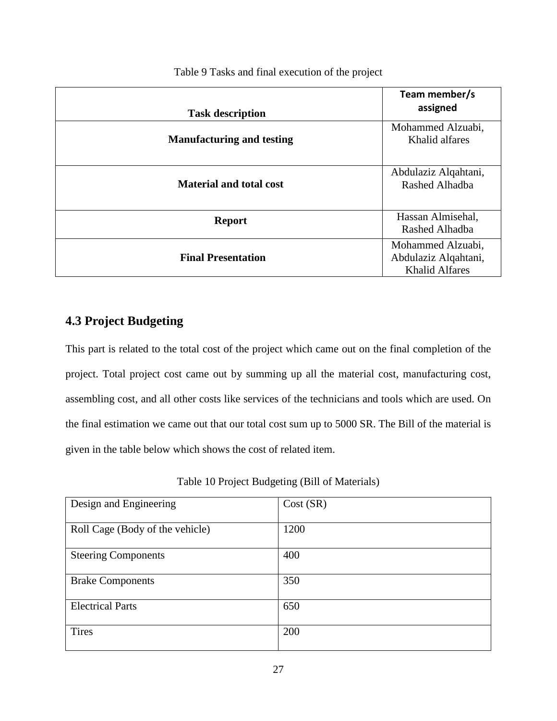<span id="page-26-0"></span>

| <b>Task description</b>          | Team member/s<br>assigned                                          |
|----------------------------------|--------------------------------------------------------------------|
| <b>Manufacturing and testing</b> | Mohammed Alzuabi,<br>Khalid alfares                                |
| <b>Material and total cost</b>   | Abdulaziz Alqahtani,<br>Rashed Alhadba                             |
| <b>Report</b>                    | Hassan Almisehal,<br>Rashed Alhadba                                |
| <b>Final Presentation</b>        | Mohammed Alzuabi,<br>Abdulaziz Alqahtani,<br><b>Khalid Alfares</b> |

Table 9 Tasks and final execution of the project

## <span id="page-26-2"></span>**4.3 Project Budgeting**

This part is related to the total cost of the project which came out on the final completion of the project. Total project cost came out by summing up all the material cost, manufacturing cost, assembling cost, and all other costs like services of the technicians and tools which are used. On the final estimation we came out that our total cost sum up to 5000 SR. The Bill of the material is given in the table below which shows the cost of related item.

Table 10 Project Budgeting (Bill of Materials)

<span id="page-26-1"></span>

| Design and Engineering          | Cost(SR) |
|---------------------------------|----------|
|                                 |          |
| Roll Cage (Body of the vehicle) | 1200     |
|                                 |          |
| <b>Steering Components</b>      | 400      |
|                                 |          |
| <b>Brake Components</b>         | 350      |
|                                 |          |
| <b>Electrical Parts</b>         | 650      |
|                                 |          |
| Tires                           | 200      |
|                                 |          |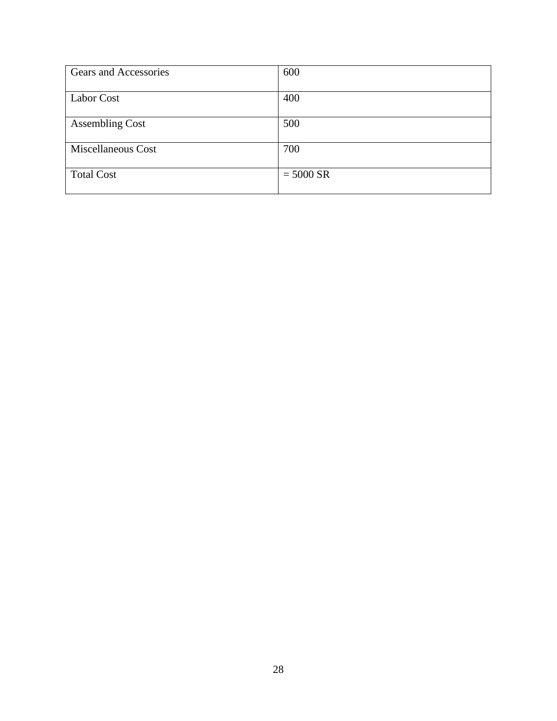| Gears and Accessories  | 600         |
|------------------------|-------------|
| Labor Cost             | 400         |
| <b>Assembling Cost</b> | 500         |
| Miscellaneous Cost     | 700         |
| <b>Total Cost</b>      | $= 5000$ SR |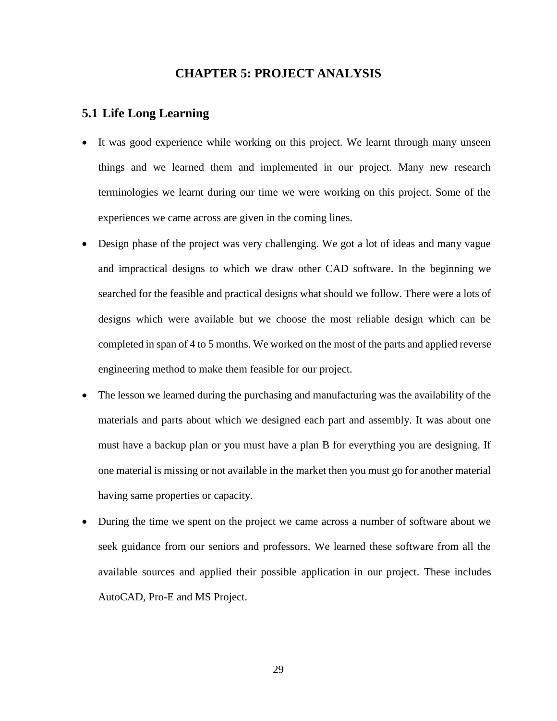### **CHAPTER 5: PROJECT ANALYSIS**

#### <span id="page-28-1"></span><span id="page-28-0"></span>**5.1 Life Long Learning**

- It was good experience while working on this project. We learnt through many unseen things and we learned them and implemented in our project. Many new research terminologies we learnt during our time we were working on this project. Some of the experiences we came across are given in the coming lines.
- Design phase of the project was very challenging. We got a lot of ideas and many vague and impractical designs to which we draw other CAD software. In the beginning we searched for the feasible and practical designs what should we follow. There were a lots of designs which were available but we choose the most reliable design which can be completed in span of 4 to 5 months. We worked on the most of the parts and applied reverse engineering method to make them feasible for our project.
- The lesson we learned during the purchasing and manufacturing was the availability of the materials and parts about which we designed each part and assembly. It was about one must have a backup plan or you must have a plan B for everything you are designing. If one material is missing or not available in the market then you must go for another material having same properties or capacity.
- During the time we spent on the project we came across a number of software about we seek guidance from our seniors and professors. We learned these software from all the available sources and applied their possible application in our project. These includes AutoCAD, Pro-E and MS Project.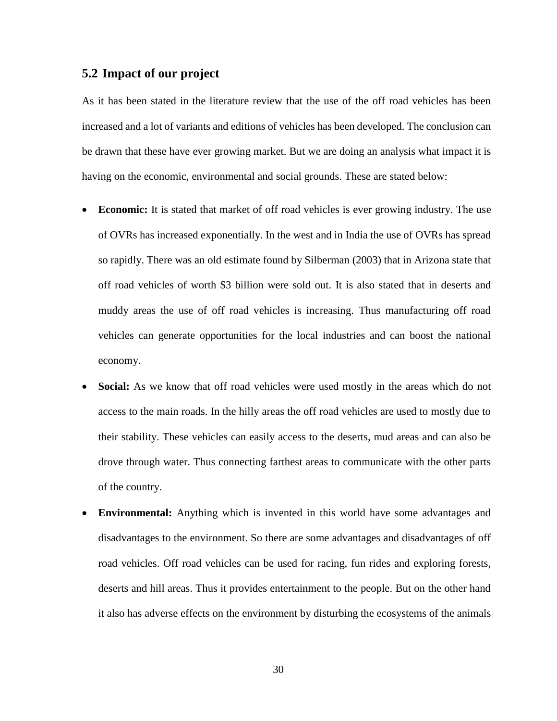#### <span id="page-29-0"></span>**5.2 Impact of our project**

As it has been stated in the literature review that the use of the off road vehicles has been increased and a lot of variants and editions of vehicles has been developed. The conclusion can be drawn that these have ever growing market. But we are doing an analysis what impact it is having on the economic, environmental and social grounds. These are stated below:

- **Economic:** It is stated that market of off road vehicles is ever growing industry. The use of OVRs has increased exponentially. In the west and in India the use of OVRs has spread so rapidly. There was an old estimate found by Silberman (2003) that in Arizona state that off road vehicles of worth \$3 billion were sold out. It is also stated that in deserts and muddy areas the use of off road vehicles is increasing. Thus manufacturing off road vehicles can generate opportunities for the local industries and can boost the national economy.
- **Social:** As we know that off road vehicles were used mostly in the areas which do not access to the main roads. In the hilly areas the off road vehicles are used to mostly due to their stability. These vehicles can easily access to the deserts, mud areas and can also be drove through water. Thus connecting farthest areas to communicate with the other parts of the country.
- **Environmental:** Anything which is invented in this world have some advantages and disadvantages to the environment. So there are some advantages and disadvantages of off road vehicles. Off road vehicles can be used for racing, fun rides and exploring forests, deserts and hill areas. Thus it provides entertainment to the people. But on the other hand it also has adverse effects on the environment by disturbing the ecosystems of the animals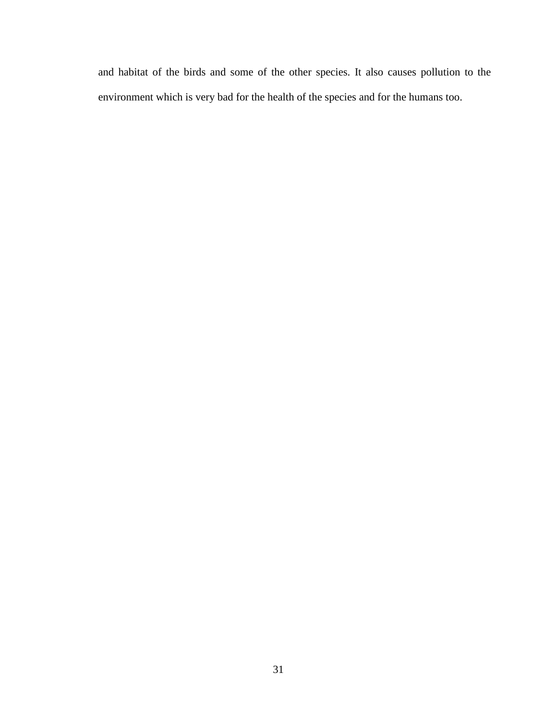and habitat of the birds and some of the other species. It also causes pollution to the environment which is very bad for the health of the species and for the humans too.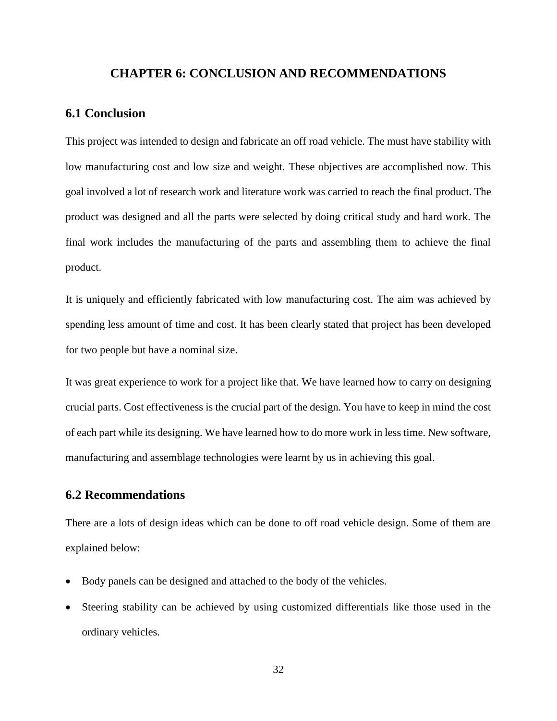#### **CHAPTER 6: CONCLUSION AND RECOMMENDATIONS**

#### <span id="page-31-1"></span><span id="page-31-0"></span>**6.1 Conclusion**

This project was intended to design and fabricate an off road vehicle. The must have stability with low manufacturing cost and low size and weight. These objectives are accomplished now. This goal involved a lot of research work and literature work was carried to reach the final product. The product was designed and all the parts were selected by doing critical study and hard work. The final work includes the manufacturing of the parts and assembling them to achieve the final product.

It is uniquely and efficiently fabricated with low manufacturing cost. The aim was achieved by spending less amount of time and cost. It has been clearly stated that project has been developed for two people but have a nominal size.

It was great experience to work for a project like that. We have learned how to carry on designing crucial parts. Cost effectiveness is the crucial part of the design. You have to keep in mind the cost of each part while its designing. We have learned how to do more work in less time. New software, manufacturing and assemblage technologies were learnt by us in achieving this goal.

#### <span id="page-31-2"></span>**6.2 Recommendations**

There are a lots of design ideas which can be done to off road vehicle design. Some of them are explained below:

- Body panels can be designed and attached to the body of the vehicles.
- Steering stability can be achieved by using customized differentials like those used in the ordinary vehicles.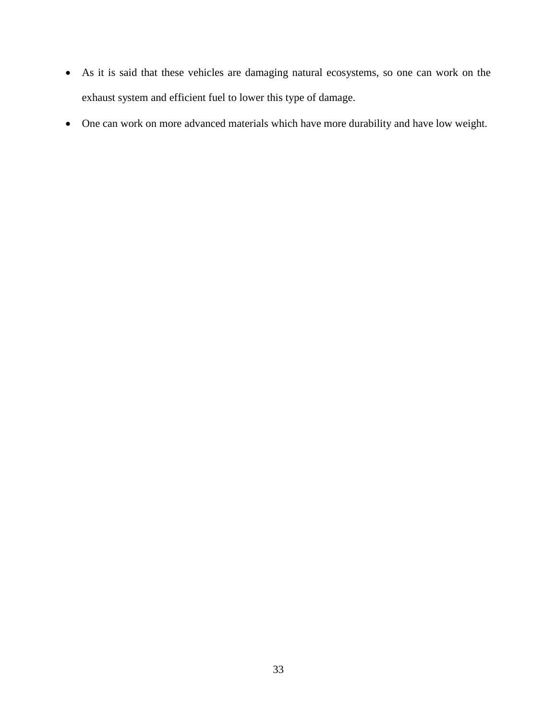- As it is said that these vehicles are damaging natural ecosystems, so one can work on the exhaust system and efficient fuel to lower this type of damage.
- One can work on more advanced materials which have more durability and have low weight.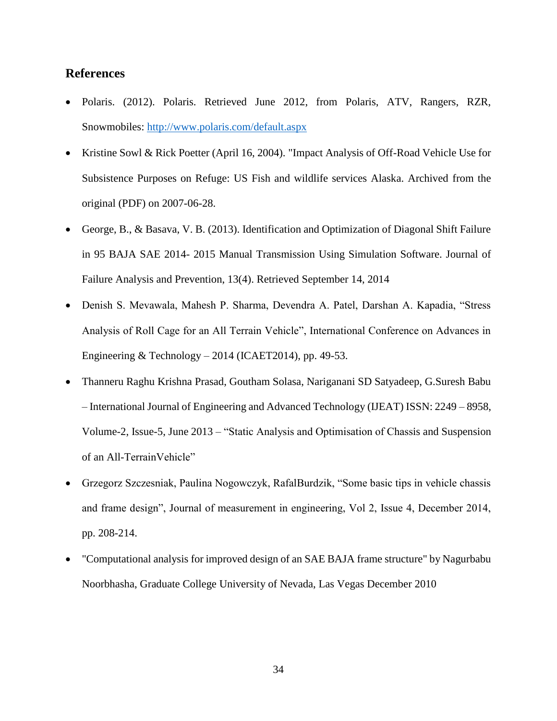## <span id="page-33-0"></span>**References**

- Polaris. (2012). Polaris. Retrieved June 2012, from Polaris, ATV, Rangers, RZR, Snowmobiles:<http://www.polaris.com/default.aspx>
- Kristine Sowl & Rick Poetter (April 16, 2004). "Impact Analysis of Off-Road Vehicle Use for Subsistence Purposes on Refuge: US Fish and wildlife services Alaska. Archived from the original (PDF) on 2007-06-28.
- George, B., & Basava, V. B. (2013). Identification and Optimization of Diagonal Shift Failure in 95 BAJA SAE 2014- 2015 Manual Transmission Using Simulation Software. Journal of Failure Analysis and Prevention, 13(4). Retrieved September 14, 2014
- Denish S. Mevawala, Mahesh P. Sharma, Devendra A. Patel, Darshan A. Kapadia, "Stress Analysis of Roll Cage for an All Terrain Vehicle", International Conference on Advances in Engineering & Technology  $-2014$  (ICAET2014), pp. 49-53.
- Thanneru Raghu Krishna Prasad, Goutham Solasa, Nariganani SD Satyadeep, G.Suresh Babu – International Journal of Engineering and Advanced Technology (IJEAT) ISSN: 2249 – 8958, Volume-2, Issue-5, June 2013 – "Static Analysis and Optimisation of Chassis and Suspension of an All-TerrainVehicle"
- Grzegorz Szczesniak, Paulina Nogowczyk, RafalBurdzik, "Some basic tips in vehicle chassis and frame design", Journal of measurement in engineering, Vol 2, Issue 4, December 2014, pp. 208-214.
- "Computational analysis for improved design of an SAE BAJA frame structure" by Nagurbabu Noorbhasha, Graduate College University of Nevada, Las Vegas December 2010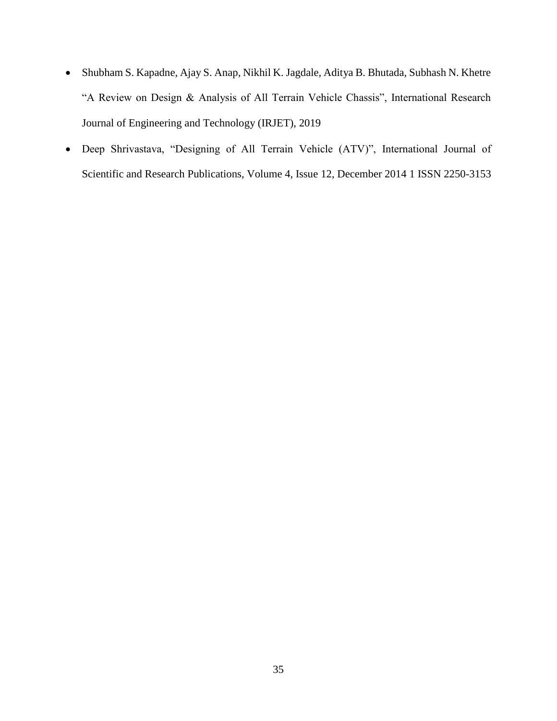- Shubham S. Kapadne, Ajay S. Anap, Nikhil K. Jagdale, Aditya B. Bhutada, Subhash N. Khetre "A Review on Design & Analysis of All Terrain Vehicle Chassis", International Research Journal of Engineering and Technology (IRJET), 2019
- Deep Shrivastava, "Designing of All Terrain Vehicle (ATV)", International Journal of Scientific and Research Publications, Volume 4, Issue 12, December 2014 1 ISSN 2250-3153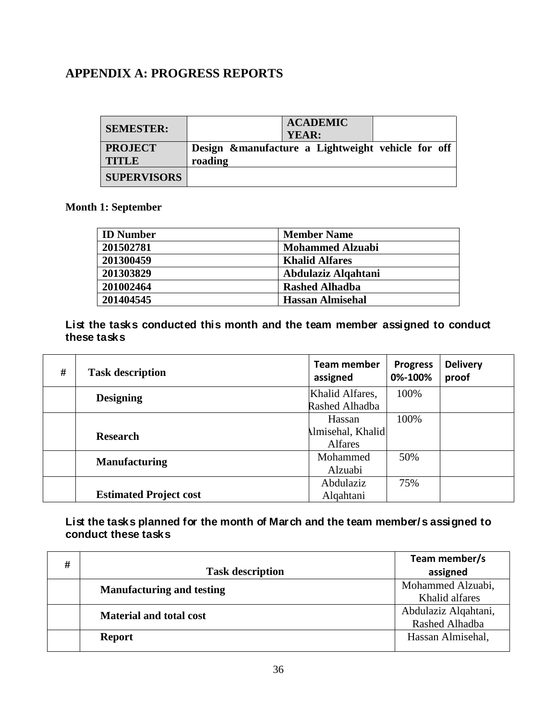# <span id="page-35-0"></span>**APPENDIX A: PROGRESS REPORTS**

| <b>SEMESTER:</b>   | <b>ACADEMIC</b><br>YEAR:                           |
|--------------------|----------------------------------------------------|
| <b>PROJECT</b>     | Design & manufacture a Lightweight vehicle for off |
| <b>TITLE</b>       | roading                                            |
| <b>SUPERVISORS</b> |                                                    |

**Month 1: September**

| <b>ID</b> Number | <b>Member Name</b>      |
|------------------|-------------------------|
| 201502781        | <b>Mohammed Alzuabi</b> |
| 201300459        | <b>Khalid Alfares</b>   |
| 201303829        | Abdulaziz Alqahtani     |
| 201002464        | <b>Rashed Alhadba</b>   |
| 201404545        | <b>Hassan Almisehal</b> |

## **List the tasks conducted this month and the team member assigned to conduct these tasks**

| #               | <b>Task description</b>       | <b>Team member</b><br>assigned | <b>Progress</b><br>0%-100% | <b>Delivery</b><br>proof |
|-----------------|-------------------------------|--------------------------------|----------------------------|--------------------------|
|                 | <b>Designing</b>              | Khalid Alfares,                | 100%                       |                          |
|                 |                               | Rashed Alhadba                 |                            |                          |
|                 |                               | Hassan                         | 100%                       |                          |
| <b>Research</b> | Imisehal, Khalid              |                                |                            |                          |
|                 | <b>Alfares</b>                |                                |                            |                          |
|                 | <b>Manufacturing</b>          | Mohammed                       | 50%                        |                          |
|                 | Alzuabi                       |                                |                            |                          |
|                 |                               | Abdulaziz                      | 75%                        |                          |
|                 | <b>Estimated Project cost</b> | Alqahtani                      |                            |                          |

### **List the tasks planned for the month of March and the team member/s assigned to conduct these tasks**

| # |                                  | Team member/s        |
|---|----------------------------------|----------------------|
|   | <b>Task description</b>          | assigned             |
|   | <b>Manufacturing and testing</b> | Mohammed Alzuabi,    |
|   |                                  | Khalid alfares       |
|   | <b>Material and total cost</b>   | Abdulaziz Alqahtani, |
|   |                                  | Rashed Alhadba       |
|   | <b>Report</b>                    | Hassan Almisehal,    |
|   |                                  |                      |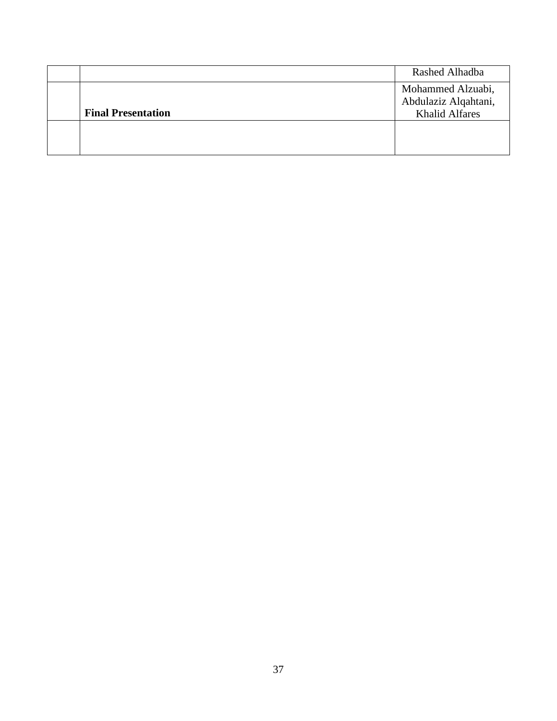|                           | Rashed Alhadba                                |
|---------------------------|-----------------------------------------------|
|                           | Mohammed Alzuabi,                             |
| <b>Final Presentation</b> | Abdulaziz Alqahtani,<br><b>Khalid Alfares</b> |
|                           |                                               |
|                           |                                               |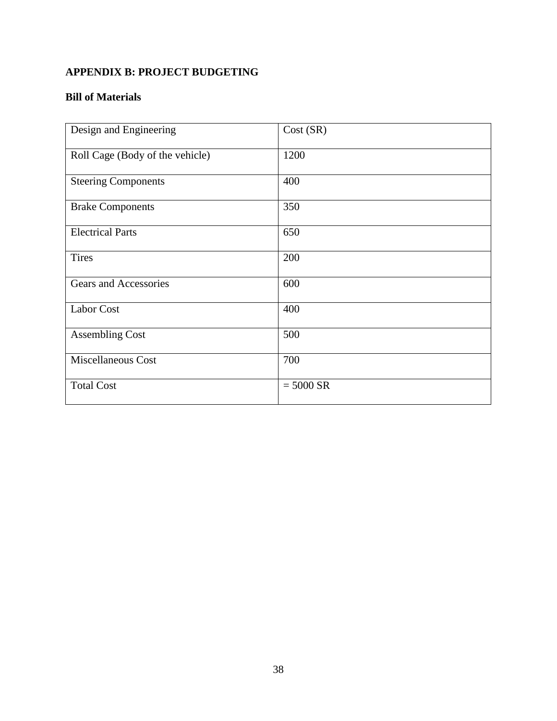# <span id="page-37-0"></span>**APPENDIX B: PROJECT BUDGETING**

## **Bill of Materials**

| Design and Engineering          | Cost (SR)   |
|---------------------------------|-------------|
| Roll Cage (Body of the vehicle) | 1200        |
| <b>Steering Components</b>      | 400         |
| <b>Brake Components</b>         | 350         |
| <b>Electrical Parts</b>         | 650         |
| <b>Tires</b>                    | 200         |
| Gears and Accessories           | 600         |
| <b>Labor Cost</b>               | 400         |
| <b>Assembling Cost</b>          | 500         |
| Miscellaneous Cost              | 700         |
| <b>Total Cost</b>               | $= 5000$ SR |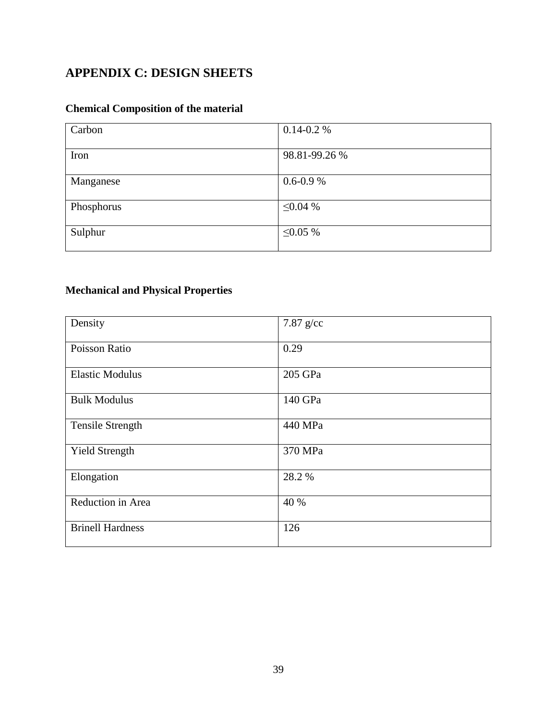# <span id="page-38-0"></span>**APPENDIX C: DESIGN SHEETS**

# **Chemical Composition of the material**

| Carbon     | $0.14 - 0.2 %$ |
|------------|----------------|
| Iron       | 98.81-99.26 %  |
| Manganese  | $0.6 - 0.9 %$  |
| Phosphorus | $\leq 0.04\%$  |
| Sulphur    | $\leq 0.05 \%$ |

## **Mechanical and Physical Properties**

| Density                 | 7.87 $g$ /cc |
|-------------------------|--------------|
| Poisson Ratio           | 0.29         |
| <b>Elastic Modulus</b>  | 205 GPa      |
| <b>Bulk Modulus</b>     | 140 GPa      |
| <b>Tensile Strength</b> | 440 MPa      |
| <b>Yield Strength</b>   | 370 MPa      |
| Elongation              | 28.2 %       |
| Reduction in Area       | 40 %         |
| <b>Brinell Hardness</b> | 126          |